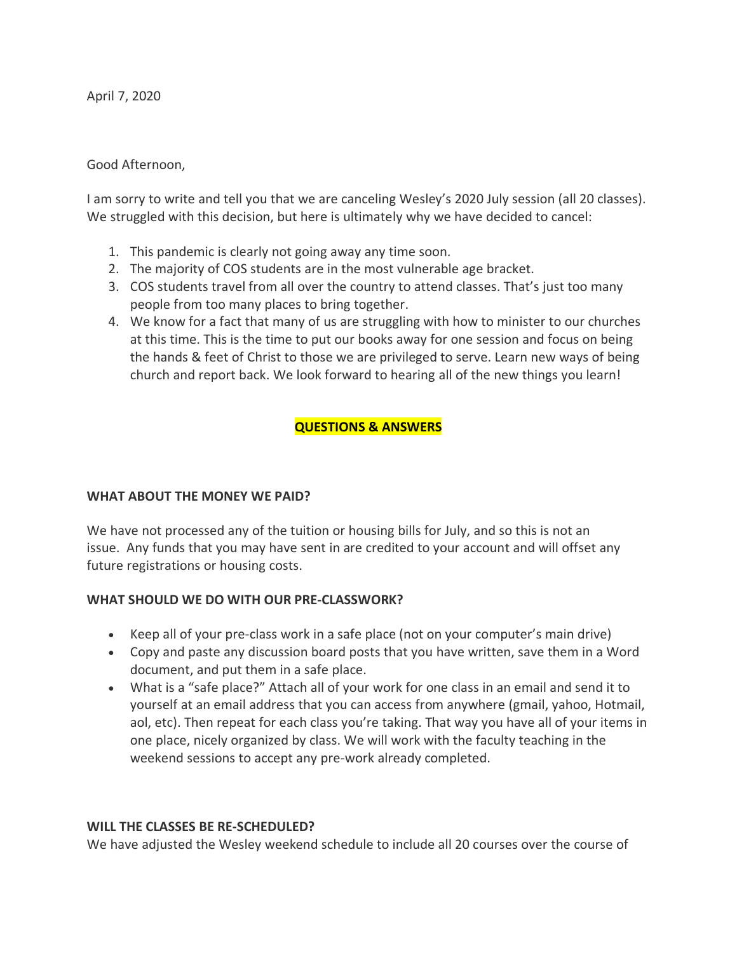April 7, 2020

### Good Afternoon,

I am sorry to write and tell you that we are canceling Wesley's 2020 July session (all 20 classes). We struggled with this decision, but here is ultimately why we have decided to cancel:

- 1. This pandemic is clearly not going away any time soon.
- 2. The majority of COS students are in the most vulnerable age bracket.
- 3. COS students travel from all over the country to attend classes. That's just too many people from too many places to bring together.
- 4. We know for a fact that many of us are struggling with how to minister to our churches at this time. This is the time to put our books away for one session and focus on being the hands & feet of Christ to those we are privileged to serve. Learn new ways of being church and report back. We look forward to hearing all of the new things you learn!

# **QUESTIONS & ANSWERS**

#### **WHAT ABOUT THE MONEY WE PAID?**

We have not processed any of the tuition or housing bills for July, and so this is not an issue. Any funds that you may have sent in are credited to your account and will offset any future registrations or housing costs.

#### **WHAT SHOULD WE DO WITH OUR PRE-CLASSWORK?**

- Keep all of your pre-class work in a safe place (not on your computer's main drive)
- Copy and paste any discussion board posts that you have written, save them in a Word document, and put them in a safe place.
- What is a "safe place?" Attach all of your work for one class in an email and send it to yourself at an email address that you can access from anywhere (gmail, yahoo, Hotmail, aol, etc). Then repeat for each class you're taking. That way you have all of your items in one place, nicely organized by class. We will work with the faculty teaching in the weekend sessions to accept any pre-work already completed.

#### **WILL THE CLASSES BE RE-SCHEDULED?**

We have adjusted the Wesley weekend schedule to include all 20 courses over the course of